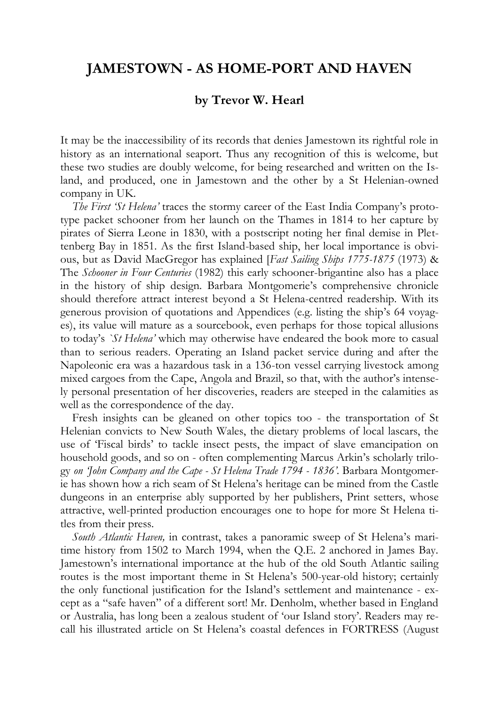## **JAMESTOWN - AS HOME-PORT AND HAVEN**

## **by Trevor W. Hearl**

It may be the inaccessibility of its records that denies Jamestown its rightful role in history as an international seaport. Thus any recognition of this is welcome, but these two studies are doubly welcome, for being researched and written on the Island, and produced, one in Jamestown and the other by a St Helenian-owned company in UK.

*The First 'St Helena'* traces the stormy career of the East India Company's prototype packet schooner from her launch on the Thames in 1814 to her capture by pirates of Sierra Leone in 1830, with a postscript noting her final demise in Plettenberg Bay in 1851. As the first Island-based ship, her local importance is obvious, but as David MacGregor has explained [*Fast Sailing Ships 1775-1875* (1973) & The *Schooner in Four Centuries* (1982) this early schooner-brigantine also has a place in the history of ship design. Barbara Montgomerie's comprehensive chronicle should therefore attract interest beyond a St Helena-centred readership. With its generous provision of quotations and Appendices (e.g. listing the ship's 64 voyages), its value will mature as a sourcebook, even perhaps for those topical allusions to today's *`St Helena'* which may otherwise have endeared the book more to casual than to serious readers. Operating an Island packet service during and after the Napoleonic era was a hazardous task in a 136-ton vessel carrying livestock among mixed cargoes from the Cape, Angola and Brazil, so that, with the author's intensely personal presentation of her discoveries, readers are steeped in the calamities as well as the correspondence of the day.

Fresh insights can be gleaned on other topics too - the transportation of St Helenian convicts to New South Wales, the dietary problems of local lascars, the use of 'Fiscal birds' to tackle insect pests, the impact of slave emancipation on household goods, and so on - often complementing Marcus Arkin's scholarly trilogy *on 'John Company and the Cape - St Helena Trade 1794 - 1836'*. Barbara Montgomerie has shown how a rich seam of St Helena's heritage can be mined from the Castle dungeons in an enterprise ably supported by her publishers, Print setters, whose attractive, well-printed production encourages one to hope for more St Helena titles from their press.

*South Atlantic Haven,* in contrast, takes a panoramic sweep of St Helena's maritime history from 1502 to March 1994, when the Q.E. 2 anchored in James Bay. Jamestown's international importance at the hub of the old South Atlantic sailing routes is the most important theme in St Helena's 500-year-old history; certainly the only functional justification for the Island's settlement and maintenance - except as a "safe haven" of a different sort! Mr. Denholm, whether based in England or Australia, has long been a zealous student of 'our Island story'. Readers may recall his illustrated article on St Helena's coastal defences in FORTRESS (August